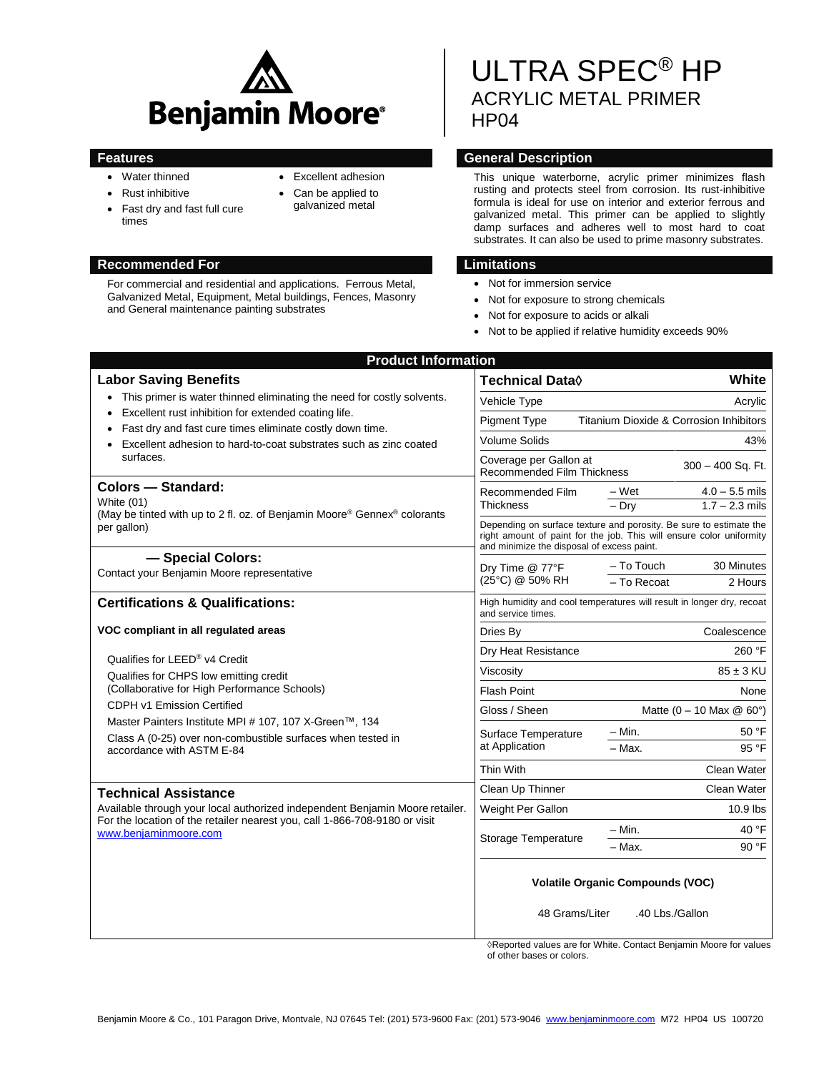

- Water thinned
- Rust inhibitive
- Fast dry and fast full cure times
- Excellent adhesion
- Can be applied to galvanized metal
- 

# **Recommended For Limitations**

For commercial and residential and applications. Ferrous Metal, Galvanized Metal, Equipment, Metal buildings, Fences, Masonry and General maintenance painting substrates

# ULTRA SPEC® HP ACRYLIC METAL PRIMER HP<sub>04</sub>

# **Features General Description**

This unique waterborne, acrylic primer minimizes flash rusting and protects steel from corrosion. Its rust-inhibitive formula is ideal for use on interior and exterior ferrous and galvanized metal. This primer can be applied to slightly damp surfaces and adheres well to most hard to coat substrates. It can also be used to prime masonry substrates.

- Not for immersion service
- Not for exposure to strong chemicals
- Not for exposure to acids or alkali
- Not to be applied if relative humidity exceeds 90%

| <b>Product Information</b>                                                                                                                                                                                                                                                                                                                          |                                                                                                                                                                                          |
|-----------------------------------------------------------------------------------------------------------------------------------------------------------------------------------------------------------------------------------------------------------------------------------------------------------------------------------------------------|------------------------------------------------------------------------------------------------------------------------------------------------------------------------------------------|
| <b>Labor Saving Benefits</b>                                                                                                                                                                                                                                                                                                                        | White<br><b>Technical Data</b> ♦                                                                                                                                                         |
| • This primer is water thinned eliminating the need for costly solvents.<br>Excellent rust inhibition for extended coating life.<br>$\bullet$<br>Fast dry and fast cure times eliminate costly down time.<br>Excellent adhesion to hard-to-coat substrates such as zinc coated<br>$\bullet$<br>surfaces.                                            | Acrylic<br>Vehicle Type                                                                                                                                                                  |
|                                                                                                                                                                                                                                                                                                                                                     | Titanium Dioxide & Corrosion Inhibitors<br><b>Pigment Type</b>                                                                                                                           |
|                                                                                                                                                                                                                                                                                                                                                     | <b>Volume Solids</b><br>43%                                                                                                                                                              |
|                                                                                                                                                                                                                                                                                                                                                     | Coverage per Gallon at<br>300 - 400 Sq. Ft.<br><b>Recommended Film Thickness</b>                                                                                                         |
| Colors - Standard:<br>White (01)<br>(May be tinted with up to 2 fl. oz. of Benjamin Moore® Gennex® colorants<br>per gallon)                                                                                                                                                                                                                         | – Wet<br>$4.0 - 5.5$ mils<br>Recommended Film<br><b>Thickness</b><br>$-$ Drv<br>$1.7 - 2.3$ mils                                                                                         |
|                                                                                                                                                                                                                                                                                                                                                     | Depending on surface texture and porosity. Be sure to estimate the<br>right amount of paint for the job. This will ensure color uniformity<br>and minimize the disposal of excess paint. |
| - Special Colors:<br>Contact your Benjamin Moore representative                                                                                                                                                                                                                                                                                     | 30 Minutes<br>– To Touch<br>Dry Time @ 77°F<br>(25°C) @ 50% RH<br>- To Recoat<br>2 Hours                                                                                                 |
|                                                                                                                                                                                                                                                                                                                                                     |                                                                                                                                                                                          |
| VOC compliant in all regulated areas<br>Qualifies for LEED® v4 Credit<br>Qualifies for CHPS low emitting credit<br>(Collaborative for High Performance Schools)<br>CDPH v1 Emission Certified<br>Master Painters Institute MPI # 107, 107 X-Green™, 134<br>Class A (0-25) over non-combustible surfaces when tested in<br>accordance with ASTM E-84 | Coalescence<br>Dries By                                                                                                                                                                  |
|                                                                                                                                                                                                                                                                                                                                                     | Dry Heat Resistance<br>260 °F                                                                                                                                                            |
|                                                                                                                                                                                                                                                                                                                                                     | Viscositv<br>$85 \pm 3$ KU                                                                                                                                                               |
|                                                                                                                                                                                                                                                                                                                                                     | <b>Flash Point</b><br>None                                                                                                                                                               |
|                                                                                                                                                                                                                                                                                                                                                     | Gloss / Sheen<br>Matte $(0 - 10$ Max $@$ 60°)                                                                                                                                            |
|                                                                                                                                                                                                                                                                                                                                                     | – Min.<br>50 °F<br>Surface Temperature                                                                                                                                                   |
|                                                                                                                                                                                                                                                                                                                                                     | at Application<br>95 °F<br>- Max.                                                                                                                                                        |
|                                                                                                                                                                                                                                                                                                                                                     | Clean Water<br>Thin With                                                                                                                                                                 |
| <b>Technical Assistance</b>                                                                                                                                                                                                                                                                                                                         | Clean Up Thinner<br>Clean Water                                                                                                                                                          |
| Available through your local authorized independent Benjamin Moore retailer.<br>For the location of the retailer nearest you, call 1-866-708-9180 or visit<br>www.benjaminmoore.com                                                                                                                                                                 | Weight Per Gallon<br>$10.9$ lbs                                                                                                                                                          |
|                                                                                                                                                                                                                                                                                                                                                     | - Min.<br>40 °F                                                                                                                                                                          |
|                                                                                                                                                                                                                                                                                                                                                     | Storage Temperature<br>90 °F<br>- Max.                                                                                                                                                   |
|                                                                                                                                                                                                                                                                                                                                                     | <b>Volatile Organic Compounds (VOC)</b><br>48 Grams/Liter<br>.40 Lbs./Gallon                                                                                                             |

◊Reported values are for White. Contact Benjamin Moore for values of other bases or colors.